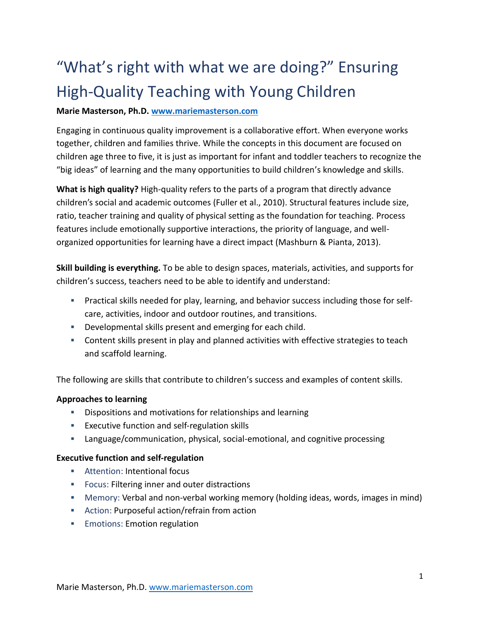# "What's right with what we are doing?" Ensuring High-Quality Teaching with Young Children

# **Marie Masterson, Ph.D. [www.mariemasterson.com](http://www.mariemasterson.com/)**

Engaging in continuous quality improvement is a collaborative effort. When everyone works together, children and families thrive. While the concepts in this document are focused on children age three to five, it is just as important for infant and toddler teachers to recognize the "big ideas" of learning and the many opportunities to build children's knowledge and skills.

**What is high quality?** High-quality refers to the parts of a program that directly advance children's social and academic outcomes (Fuller et al., 2010). Structural features include size, ratio, teacher training and quality of physical setting as the foundation for teaching. Process features include emotionally supportive interactions, the priority of language, and wellorganized opportunities for learning have a direct impact (Mashburn & Pianta, 2013).

**Skill building is everything.** To be able to design spaces, materials, activities, and supports for children's success, teachers need to be able to identify and understand:

- Practical skills needed for play, learning, and behavior success including those for selfcare, activities, indoor and outdoor routines, and transitions.
- **Developmental skills present and emerging for each child.**
- Content skills present in play and planned activities with effective strategies to teach and scaffold learning.

The following are skills that contribute to children's success and examples of content skills.

## **Approaches to learning**

- **•** Dispositions and motivations for relationships and learning
- **Executive function and self-regulation skills**
- Language/communication, physical, social-emotional, and cognitive processing

## **Executive function and self-regulation**

- **EXECUTE: Attention: Intentional focus**
- **FILTER FILTER IS ENDING** FILTERITY FOCUS: Filtering inner and outer distractions
- Memory: Verbal and non-verbal working memory (holding ideas, words, images in mind)
- Action: Purposeful action/refrain from action
- **Emotions: Emotion regulation**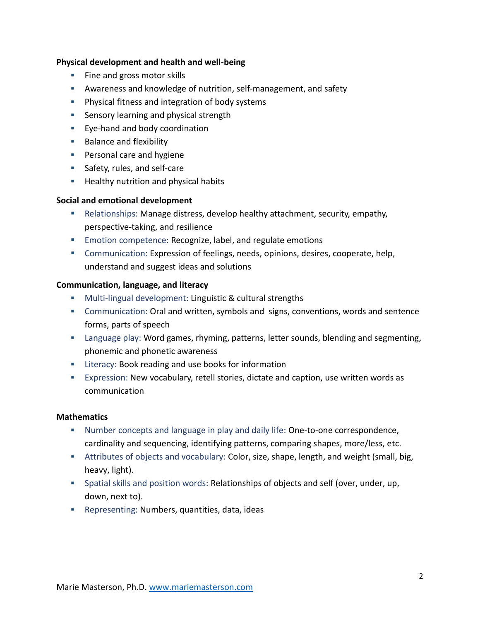#### **Physical development and health and well-being**

- **Fine and gross motor skills**
- Awareness and knowledge of nutrition, self-management, and safety
- **Physical fitness and integration of body systems**
- **Sensory learning and physical strength**
- **Eye-hand and body coordination**
- **Balance and flexibility**
- **Personal care and hygiene**
- **Safety, rules, and self-care**
- **Healthy nutrition and physical habits**

## **Social and emotional development**

- Relationships: Manage distress, develop healthy attachment, security, empathy, perspective-taking, and resilience
- **Emotion competence: Recognize, label, and regulate emotions**
- Communication: Expression of feelings, needs, opinions, desires, cooperate, help, understand and suggest ideas and solutions

#### **Communication, language, and literacy**

- **Multi-lingual development: Linguistic & cultural strengths**
- Communication: Oral and written, symbols and signs, conventions, words and sentence forms, parts of speech
- Language play: Word games, rhyming, patterns, letter sounds, blending and segmenting, phonemic and phonetic awareness
- **EXECUTE:** Literacy: Book reading and use books for information
- Expression: New vocabulary, retell stories, dictate and caption, use written words as communication

#### **Mathematics**

- Number concepts and language in play and daily life: One-to-one correspondence, cardinality and sequencing, identifying patterns, comparing shapes, more/less, etc.
- Attributes of objects and vocabulary: Color, size, shape, length, and weight (small, big, heavy, light).
- Spatial skills and position words: Relationships of objects and self (over, under, up, down, next to).
- Representing: Numbers, quantities, data, ideas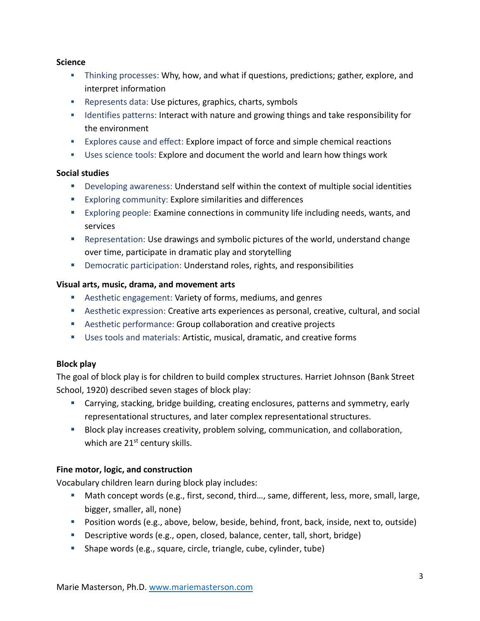#### **Science**

- Thinking processes: Why, how, and what if questions, predictions; gather, explore, and interpret information
- Represents data: Use pictures, graphics, charts, symbols
- **If all identifies patterns: Interact with nature and growing things and take responsibility for** the environment
- Explores cause and effect: Explore impact of force and simple chemical reactions
- Uses science tools: Explore and document the world and learn how things work

## **Social studies**

- Developing awareness: Understand self within the context of multiple social identities
- **Exploring community: Explore similarities and differences**
- Exploring people: Examine connections in community life including needs, wants, and services
- Representation: Use drawings and symbolic pictures of the world, understand change over time, participate in dramatic play and storytelling
- Democratic participation: Understand roles, rights, and responsibilities

## **Visual arts, music, drama, and movement arts**

- Aesthetic engagement: Variety of forms, mediums, and genres
- Aesthetic expression: Creative arts experiences as personal, creative, cultural, and social
- Aesthetic performance: Group collaboration and creative projects
- Uses tools and materials: Artistic, musical, dramatic, and creative forms

## **Block play**

The goal of block play is for children to build complex structures. Harriet Johnson (Bank Street School, 1920) described seven stages of block play:

- Carrying, stacking, bridge building, creating enclosures, patterns and symmetry, early representational structures, and later complex representational structures.
- **Block play increases creativity, problem solving, communication, and collaboration,** which are 21<sup>st</sup> century skills.

## **Fine motor, logic, and construction**

Vocabulary children learn during block play includes:

- Math concept words (e.g., first, second, third..., same, different, less, more, small, large, bigger, smaller, all, none)
- Position words (e.g., above, below, beside, behind, front, back, inside, next to, outside)
- Descriptive words (e.g., open, closed, balance, center, tall, short, bridge)
- Shape words (e.g., square, circle, triangle, cube, cylinder, tube)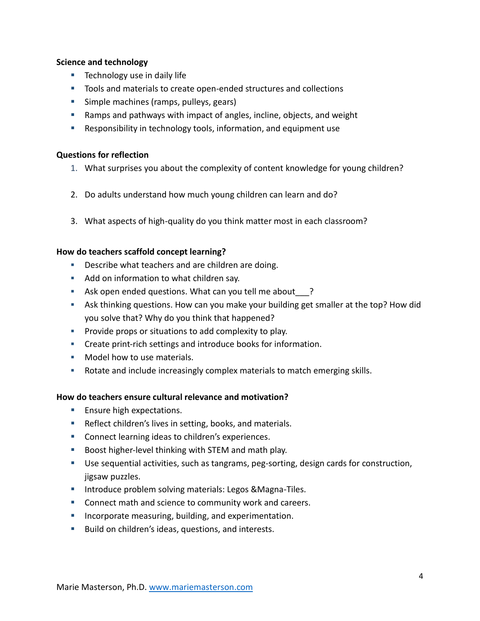#### **Science and technology**

- **Technology use in daily life**
- Tools and materials to create open-ended structures and collections
- **Simple machines (ramps, pulleys, gears)**
- Ramps and pathways with impact of angles, incline, objects, and weight
- Responsibility in technology tools, information, and equipment use

#### **Questions for reflection**

- 1. What surprises you about the complexity of content knowledge for young children?
- 2. Do adults understand how much young children can learn and do?
- 3. What aspects of high-quality do you think matter most in each classroom?

## **How do teachers scaffold concept learning?**

- **Describe what teachers and are children are doing.**
- Add on information to what children say.
- Ask open ended questions. What can you tell me about  $\frac{1}{2}$ ?
- Ask thinking questions. How can you make your building get smaller at the top? How did you solve that? Why do you think that happened?
- **Provide props or situations to add complexity to play.**
- Create print-rich settings and introduce books for information.
- **Model how to use materials.**
- Rotate and include increasingly complex materials to match emerging skills.

## **How do teachers ensure cultural relevance and motivation?**

- **Ensure high expectations.**
- **Reflect children's lives in setting, books, and materials.**
- **Connect learning ideas to children's experiences.**
- Boost higher-level thinking with STEM and math play.
- Use sequential activities, such as tangrams, peg-sorting, design cards for construction, jigsaw puzzles.
- **Introduce problem solving materials: Legos &Magna-Tiles.**
- **Connect math and science to community work and careers.**
- **IF** Incorporate measuring, building, and experimentation.
- **Build on children's ideas, questions, and interests.**